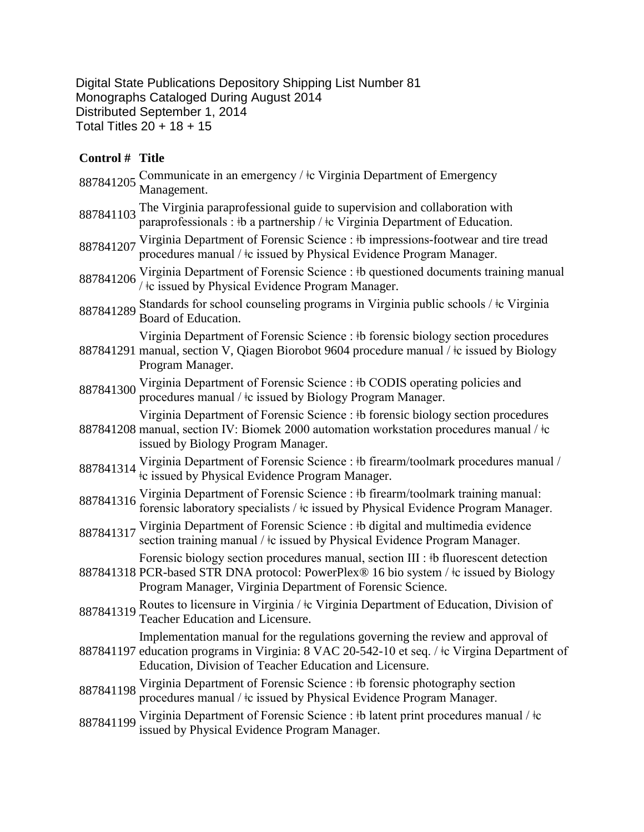Digital State Publications Depository Shipping List Number 81 Monographs Cataloged During August 2014 Distributed September 1, 2014 Total Titles 20 + 18 + 15

## **Control # Title**

| 887841205 Communicate in an emergency / ‡c Virginia Department of Emergency Management.                                                                            |
|--------------------------------------------------------------------------------------------------------------------------------------------------------------------|
| 887841103 The Virginia paraprofessional guide to supervision and collaboration with<br>paraprofessionals : #b a partnership / #c Virginia Department of Education. |

887841207 Virginia Department of Forensic Science : ‡b impressions-footwear and tire tread procedures manual / ǂc issued by Physical Evidence Program Manager.

- 887841206 Virginia Department of Forensic Science : ‡b questioned documents training manual <br>887841206 / ‡c issued by Physical Evidence Program Manager.
- 887841289 Standards for school counseling programs in Virginia public schools /  $\pm$ c Virginia Board of Education.

Virginia Department of Forensic Science : ǂb forensic biology section procedures

- 887841291 manual, section V, Qiagen Biorobot 9604 procedure manual / ǂc issued by Biology Program Manager.
- 887841300 Virginia Department of Forensic Science : ‡b CODIS operating policies and procedures manual /  $\pm c$  issued by Biology Program Manager.
- 887841208 manual, section IV: Biomek 2000 automation workstation procedures manual / ǂc Virginia Department of Forensic Science : ǂb forensic biology section procedures issued by Biology Program Manager.
- 887841314 Virginia Department of Forensic Science : ‡b firearm/toolmark procedures manual / ‡c issued by Physical Evidence Program Manager.
- 887841316 Virginia Department of Forensic Science : ‡b firearm/toolmark training manual:<br>forensic laboratory specialists / ‡c issued by Physical Evidence Program Manager.
- 887841317 Virginia Department of Forensic Science : ‡b digital and multimedia evidence section training manual /  $\pm c$  issued by Physical Evidence Program Manager.
- 887841318 PCR-based STR DNA protocol: PowerPlex® 16 bio system / ǂc issued by Biology Forensic biology section procedures manual, section III : ǂb fluorescent detection Program Manager, Virginia Department of Forensic Science.
- 887841319 Routes to licensure in Virginia /  $\pm c$  Virginia Department of Education, Division of Teacher Education and Licensure.

Implementation manual for the regulations governing the review and approval of

- 887841197 education programs in Virginia: 8 VAC 20-542-10 et seq. / ǂc Virgina Department of Education, Division of Teacher Education and Licensure.
- 887841198 Virginia Department of Forensic Science : ‡b forensic photography section procedures manual / ǂc issued by Physical Evidence Program Manager.
- 887841199 Virginia Department of Forensic Science : ‡b latent print procedures manual / ‡c issued by Physical Evidence Program Manager.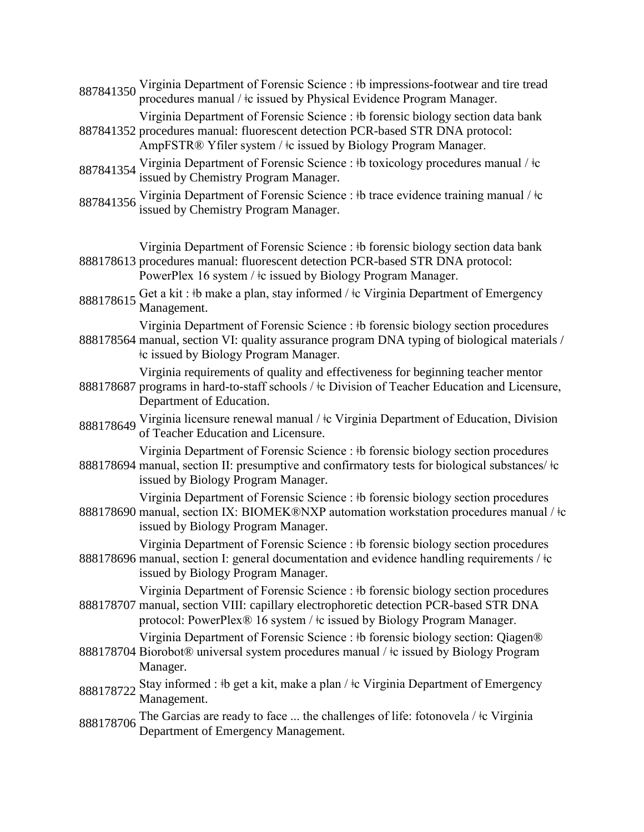|  | 887841350 Virginia Department of Forensic Science : #b impressions-footwear and tire tread |
|--|--------------------------------------------------------------------------------------------|
|  | procedures manual / $\pm c$ issued by Physical Evidence Program Manager.                   |

887841352 procedures manual: fluorescent detection PCR-based STR DNA protocol: Virginia Department of Forensic Science : ǂb forensic biology section data bank

AmpFSTR® Yfiler system / ǂc issued by Biology Program Manager.

- 887841354 Virginia Department of Forensic Science : ‡b toxicology procedures manual / ‡c issued by Chemistry Program Manager.
- 887841356 Virginia Department of Forensic Science : ‡b trace evidence training manual / ‡c issued by Chemistry Program Manager.
- 888178613 procedures manual: fluorescent detection PCR-based STR DNA protocol: Virginia Department of Forensic Science : ǂb forensic biology section data bank PowerPlex 16 system / ǂc issued by Biology Program Manager.
- 888178615 Get a kit : ‡b make a plan, stay informed / ‡c Virginia Department of Emergency<br>Management.

Virginia Department of Forensic Science : ǂb forensic biology section procedures

888178564 manual, section VI: quality assurance program DNA typing of biological materials / ǂc issued by Biology Program Manager.

Virginia requirements of quality and effectiveness for beginning teacher mentor

- 888178687 programs in hard-to-staff schools /  $\pm$ c Division of Teacher Education and Licensure, Department of Education.
- 888178649 Virginia licensure renewal manual /  $\pm$ c Virginia Department of Education, Division of Teacher Education and Licensure.

Virginia Department of Forensic Science : ǂb forensic biology section procedures

888178694 manual, section II: presumptive and confirmatory tests for biological substances/ $\pm c$ issued by Biology Program Manager.

Virginia Department of Forensic Science : ǂb forensic biology section procedures

888178690 manual, section IX: BIOMEK®NXP automation workstation procedures manual / ǂc issued by Biology Program Manager.

Virginia Department of Forensic Science : ǂb forensic biology section procedures

888178696 manual, section I: general documentation and evidence handling requirements /  $\pm c$ issued by Biology Program Manager.

888178707 manual, section VIII: capillary electrophoretic detection PCR-based STR DNA Virginia Department of Forensic Science : ǂb forensic biology section procedures

protocol: PowerPlex<sup>®</sup> 16 system /  $\pm c$  issued by Biology Program Manager.

- 888178704 Biorobot® universal system procedures manual / ǂc issued by Biology Program Virginia Department of Forensic Science : ‡b forensic biology section: Oiagen<sup>®</sup> Manager.
- 888178722 Stay informed : ‡b get a kit, make a plan / ‡c Virginia Department of Emergency Management.
- <sup>888178706</sup> The Garcias are ready to face ... the challenges of life: fotonovela / ǂc Virginia Department of Emergency Management.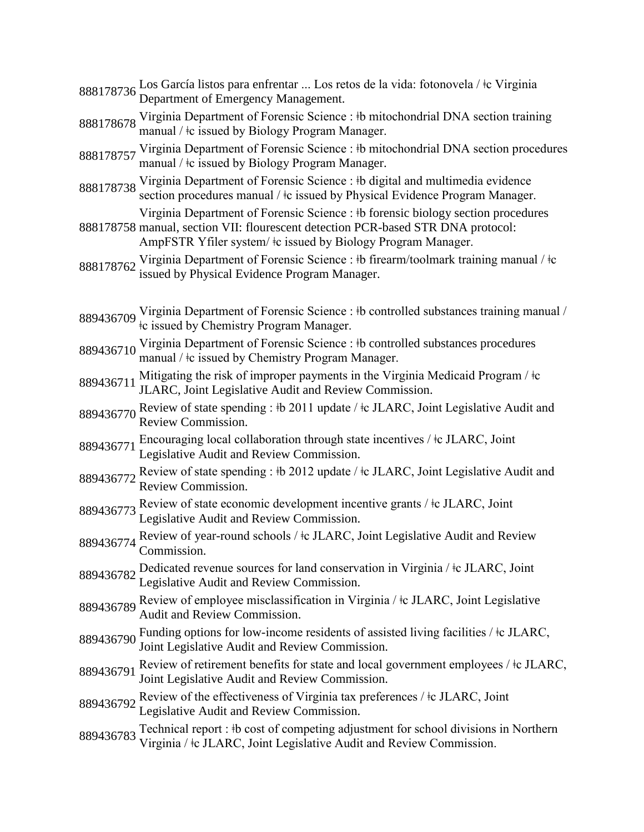- <sup>888178736</sup> Los García listos para enfrentar ... Los retos de la vida: fotonovela / ǂc Virginia Department of Emergency Management.
- 888178678 Virginia Department of Forensic Science : ‡b mitochondrial DNA section training manual / <sup>‡</sup>c issued by Biology Program Manager.
- 888178757 Virginia Department of Forensic Science : ‡b mitochondrial DNA section procedures manual / ǂc issued by Biology Program Manager.
- 888178738 Virginia Department of Forensic Science : ‡b digital and multimedia evidence section procedures manual /  $\pm c$  issued by Physical Evidence Program Manager.

Virginia Department of Forensic Science : ǂb forensic biology section procedures

- 888178758 manual, section VII: flourescent detection PCR-based STR DNA protocol: AmpFSTR Yfiler system/  $\pm c$  issued by Biology Program Manager.
- 888178762 Virginia Department of Forensic Science : ‡b firearm/toolmark training manual / ‡c issued by Physical Evidence Program Manager.
- 889436709 Virginia Department of Forensic Science : ‡b controlled substances training manual / ‡c issued by Chemistry Program Manager.
- 889436710 Virginia Department of Forensic Science : ‡b controlled substances procedures manual /  $\pm c$  issued by Chemistry Program Manager.
- 889436711 Mitigating the risk of improper payments in the Virginia Medicaid Program /  $\pm c$ JLARC, Joint Legislative Audit and Review Commission.
- 889436770 Review of state spending : ‡b 2011 update / ‡c JLARC, Joint Legislative Audit and Review Commission.
- 889436771 Encouraging local collaboration through state incentives /  $\pm$  JLARC, Joint Legislative Audit and Review Commission.
- 889436772 Review of state spending :  $\frac{1}{2}$  2012 update /  $\frac{1}{2}$  JLARC, Joint Legislative Audit and Review Commission.
- 889436773 Review of state economic development incentive grants /  $\pm$ c JLARC, Joint Legislative Audit and Review Commission.
- 889436774 Review of year-round schools /  $\pm$ c JLARC, Joint Legislative Audit and Review Commission.
- 889436782 Dedicated revenue sources for land conservation in Virginia /  $\pm c$  JLARC, Joint Legislative Audit and Review Commission.
- 889436789 Review of employee misclassification in Virginia /  $\pm$ c JLARC, Joint Legislative Audit and Review Commission.
- 889436790 Funding options for low-income residents of assisted living facilities /  $\pm$ c JLARC, Joint Legislative Audit and Review Commission.
- 889436791 Review of retirement benefits for state and local government employees /  $\pm$ c JLARC, Joint Legislative Audit and Review Commission.
- 889436792 Review of the effectiveness of Virginia tax preferences /  $\pm$ c JLARC, Joint Legislative Audit and Review Commission.
- 889436783 Technical report : ‡b cost of competing adjustment for school divisions in Northern Virginia / ǂc JLARC, Joint Legislative Audit and Review Commission.